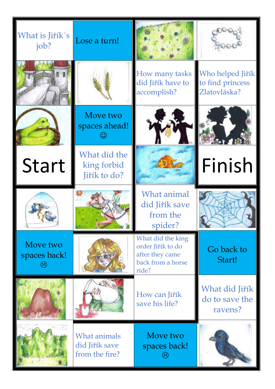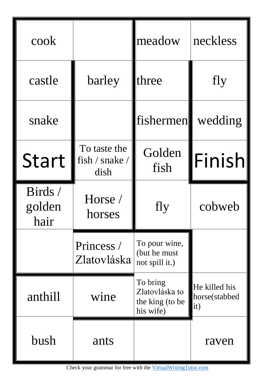| cook                      |                                        | meadow                                                     | neckless                                     |
|---------------------------|----------------------------------------|------------------------------------------------------------|----------------------------------------------|
| castle                    | barley                                 | three                                                      | fly                                          |
| snake                     |                                        | fishermen                                                  | wedding                                      |
| <b>Start</b>              | To taste the<br>fish / snake /<br>dish | Golden<br>fish                                             | Finish                                       |
| Birds /<br>golden<br>hair | Horse /<br>horses                      | fly                                                        | cobweb                                       |
|                           | Princess /<br>Zlatovláska              | To pour wine,<br>(but he must)<br>not spill it.)           |                                              |
| anthill                   | wine                                   | To bring<br>Zlatovláska to<br>the king (to be<br>his wife) | He killed his<br>horse(stabbed<br>$\ket{it}$ |
| bush                      | ants                                   |                                                            | raven                                        |

Check your grammar for free with the [VirtualWritingTutor.com](https://virtualwritingtutor.com/)